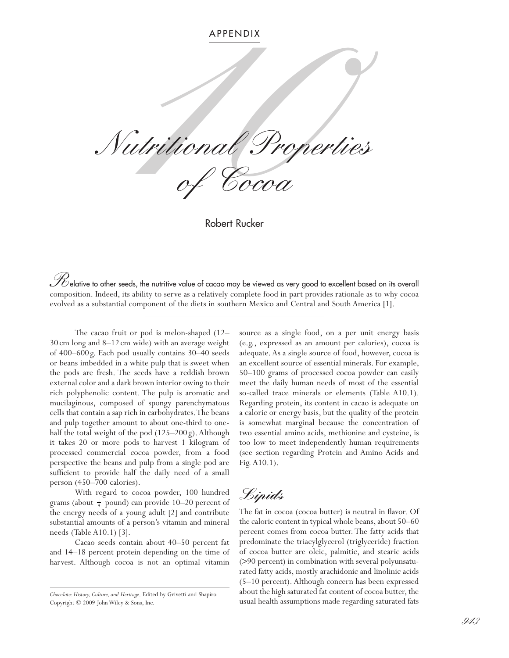#### APPENDIX

Nutritional Properties

Robert Rucker

 $\mathscr{N}$ elative to other seeds, the nutritive value of cacao may be viewed as very good to excellent based on its overall composition. Indeed, its ability to serve as a relatively complete food in part provides rationale as to why cocoa evolved as a substantial component of the diets in southern Mexico and Central and South America [1] .

The cacao fruit or pod is melon-shaped (12-30 cm long and 8–12 cm wide) with an average weight of  $400 - 600$  g. Each pod usually contains  $30 - 40$  seeds or beans imbedded in a white pulp that is sweet when the pods are fresh. The seeds have a reddish brown external color and a dark brown interior owing to their rich polyphenolic content. The pulp is aromatic and mucilaginous, composed of spongy parenchymatous cells that contain a sap rich in carbohydrates. The beans and pulp together amount to about one-third to onehalf the total weight of the pod  $(125-200 g)$ . Although it takes 20 or more pods to harvest 1 kilogram of processed commercial cocoa powder, from a food perspective the beans and pulp from a single pod are sufficient to provide half the daily need of a small person  $(450 - 700 \text{ calories}).$ 

 With regard to cocoa powder, 100 hundred grams (about  $\frac{1}{4}$  pound) can provide 10–20 percent of the energy needs of a young adult [2] and contribute substantial amounts of a person's vitamin and mineral needs (Table A10.1) [3].

Cacao seeds contain about 40-50 percent fat and 14–18 percent protein depending on the time of harvest. Although cocoa is not an optimal vitamin source as a single food, on a per unit energy basis (e.g., expressed as an amount per calories), cocoa is adequate. As a single source of food, however, cocoa is an excellent source of essential minerals. For example, 50 – 100 grams of processed cocoa powder can easily meet the daily human needs of most of the essential so-called trace minerals or elements (Table A10.1). Regarding protein, its content in cacao is adequate on a caloric or energy basis, but the quality of the protein is somewhat marginal because the concentration of two essential amino acids, methionine and cysteine, is too low to meet independently human requirements (see section regarding Protein and Amino Acids and Fig. A10.1).

# Lipids

The fat in cocoa (cocoa butter) is neutral in flavor. Of the caloric content in typical whole beans, about 50–60 percent comes from cocoa butter. The fatty acids that predominate the triacylglycerol (triglyceride) fraction of cocoa butter are oleic, palmitic, and stearic acids (>90 percent) in combination with several polyunsaturated fatty acids, mostly arachidonic and linolinic acids (5 – 10 percent). Although concern has been expressed about the high saturated fat content of cocoa butter, the usual health assumptions made regarding saturated fats

*Chocolate: History, Culture, and Heritage*. Edited by Grivetti and Shapiro Copyright © 2009 John Wiley & Sons, Inc.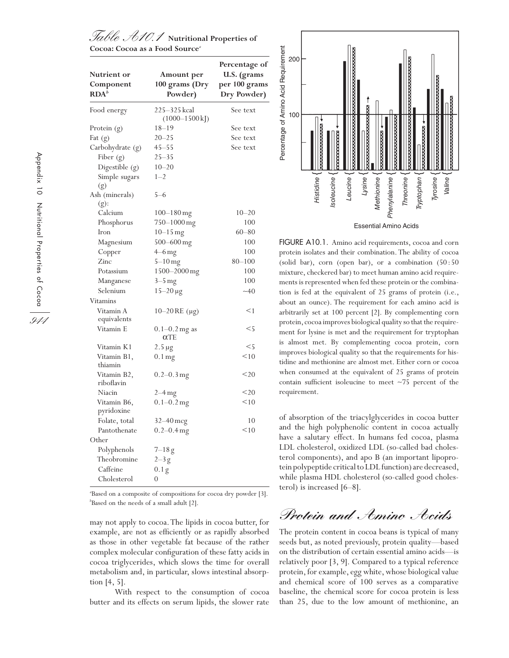| Table A10.1 Nutritional Properties of |  |  |
|---------------------------------------|--|--|
|---------------------------------------|--|--|

**Cocoa: Cocoa as a Food Source** *<sup>a</sup>*

| Nutrient or<br>Component<br>$\mathbf{R}\mathbf{D}\mathbf{A}^b$ | Amount per<br>100 grams (Dry<br>Powder)  | Percentage of<br>U.S. (grams<br>per 100 grams<br>Dry Powder) |
|----------------------------------------------------------------|------------------------------------------|--------------------------------------------------------------|
| Food energy                                                    | 225-325 kcal<br>$(1000-1500 \text{ kJ})$ | See text                                                     |
| Protein (g)                                                    | $18 - 19$                                | See text                                                     |
| Fat (g)                                                        | $20 - 25$                                | See text                                                     |
| Carbohydrate (g)                                               | $45 - 55$                                | See text                                                     |
| Fiber $(g)$                                                    | $25 - 35$                                |                                                              |
| Digestible (g)                                                 | $10 - 20$                                |                                                              |
| Simple sugars<br>(g)                                           | $1 - 2$                                  |                                                              |
| Ash (minerals)<br>$(g)$ :                                      | $5 - 6$                                  |                                                              |
| Calcium                                                        | 100–180 mg                               | 10–20                                                        |
| Phosphorus                                                     | 750–1000 mg                              | 100                                                          |
| Iron                                                           | $10 - 15$ mg                             | $60 - 80$                                                    |
| Magnesium                                                      | 500–600 mg                               | 100                                                          |
| Copper                                                         | 4–6 mg                                   | 100                                                          |
| Zinc                                                           | 5–10 mg                                  | $80 - 100$                                                   |
| Potassium                                                      | 1500–2000 mg                             | 100                                                          |
| Manganese                                                      | $3-5$ mg                                 | 100                                                          |
| Selenium                                                       | 15–20 μg                                 | $-40$                                                        |
| Vitamins                                                       |                                          |                                                              |
| Vitamin A<br>equivalents                                       | 10–20 RE (μg)                            | $\leq$ 1                                                     |
| Vitamin E                                                      | 0.1–0.2 mg as<br>$\alpha$ TE             | $<$ 5                                                        |
| Vitamin K1                                                     | $2.5 \,\mu g$                            | $<$ 5                                                        |
| Vitamin B1,<br>thiamin                                         | 0.1 mg                                   | $<$ 10                                                       |
| Vitamin B2,<br>riboflavin                                      | $0.2 - 0.3$ mg                           | $20$                                                         |
| Niacin                                                         | $2-4$ mg                                 | $20$                                                         |
| Vitamin B6,<br>pyridoxine                                      | $0.1 - 0.2$ mg                           | < 10                                                         |
| Folate, total                                                  | 32–40 mcg                                | 10                                                           |
| Pantothenate                                                   | $0.2 - 0.4$ mg                           | 10                                                           |
| Other                                                          |                                          |                                                              |
| Polyphenols                                                    | $7 - 18$ g                               |                                                              |
| Theobromine                                                    | $2 - 3 g$                                |                                                              |
| Caffeine                                                       | 0.1g                                     |                                                              |
| Cholesterol                                                    | 0                                        |                                                              |

<sup>a</sup>Based on a composite of compositions for cocoa dry powder [3]. *b*Based on the needs of a small adult [2].

may not apply to cocoa. The lipids in cocoa butter, for example, are not as efficiently or as rapidly absorbed as those in other vegetable fat because of the rather complex molecular configuration of these fatty acids in cocoa triglycerides, which slows the time for overall metabolism and, in particular, slows intestinal absorption  $[4, 5]$ .

 With respect to the consumption of cocoa butter and its effects on serum lipids, the slower rate



FIGURE A10.1. Amino acid requirements, cocoa and corn protein isolates and their combination. The ability of cocoa (solid bar), corn (open bar), or a combination (50 : 50 mixture, checkered bar) to meet human amino acid requirements is represented when fed these protein or the combination is fed at the equivalent of 25 grams of protein (i.e., about an ounce). The requirement for each amino acid is arbitrarily set at 100 percent [2]. By complementing corn protein, cocoa improves biological quality so that the requirement for lysine is met and the requirement for tryptophan is almost met. By complementing cocoa protein, corn improves biological quality so that the requirements for histidine and methionine are almost met. Either corn or cocoa when consumed at the equivalent of 25 grams of protein contain sufficient isoleucine to meet ~75 percent of the requirement.

of absorption of the triacylglycerides in cocoa butter and the high polyphenolic content in cocoa actually have a salutary effect. In humans fed cocoa, plasma LDL cholesterol, oxidized LDL (so-called bad cholesterol components), and apo B (an important lipoprotein polypeptide critical to LDL function) are decreased, while plasma HDL cholesterol (so-called good cholesterol) is increased  $[6-8]$ .

## Protein and Amino Acids

 The protein content in cocoa beans is typical of many seeds but, as noted previously, protein quality-based on the distribution of certain essential amino acids — is relatively poor [3, 9]. Compared to a typical reference protein, for example, egg white, whose biological value and chemical score of 100 serves as a comparative baseline, the chemical score for cocoa protein is less than 25, due to the low amount of methionine, an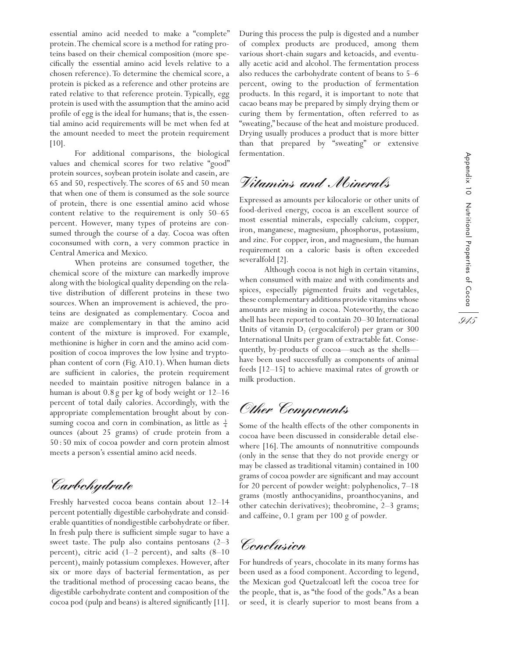essential amino acid needed to make a "complete" protein. The chemical score is a method for rating proteins based on their chemical composition (more specifi cally the essential amino acid levels relative to a chosen reference). To determine the chemical score, a protein is picked as a reference and other proteins are rated relative to that reference protein. Typically, egg protein is used with the assumption that the amino acid profile of egg is the ideal for humans; that is, the essential amino acid requirements will be met when fed at the amount needed to meet the protein requirement  $[10]$ .

 For additional comparisons, the biological values and chemical scores for two relative "good" protein sources, soybean protein isolate and casein, are 65 and 50, respectively. The scores of 65 and 50 mean that when one of them is consumed as the sole source of protein, there is one essential amino acid whose content relative to the requirement is only 50-65 percent. However, many types of proteins are consumed through the course of a day. Cocoa was often coconsumed with corn, a very common practice in Central America and Mexico.

 When proteins are consumed together, the chemical score of the mixture can markedly improve along with the biological quality depending on the relative distribution of different proteins in these two sources. When an improvement is achieved, the proteins are designated as complementary. Cocoa and maize are complementary in that the amino acid content of the mixture is improved. For example, methionine is higher in corn and the amino acid composition of cocoa improves the low lysine and tryptophan content of corn (Fig. A10.1). When human diets are sufficient in calories, the protein requirement needed to maintain positive nitrogen balance in a human is about 0.8 g per kg of body weight or 12-16 percent of total daily calories. Accordingly, with the appropriate complementation brought about by consuming cocoa and corn in combination, as little as  $\frac{3}{4}$ ounces (about 25 grams) of crude protein from a 50 : 50 mix of cocoa powder and corn protein almost meets a person's essential amino acid needs.

# Carbohydrate

Freshly harvested cocoa beans contain about 12-14 percent potentially digestible carbohydrate and considerable quantities of nondigestible carbohydrate or fiber. In fresh pulp there is sufficient simple sugar to have a sweet taste. The pulp also contains pentosans  $(2-3)$ percent), citric acid  $(1-2$  percent), and salts  $(8-10)$ percent), mainly potassium complexes. However, after six or more days of bacterial fermentation, as per the traditional method of processing cacao beans, the digestible carbohydrate content and composition of the cocoa pod (pulp and beans) is altered significantly [11]. During this process the pulp is digested and a number of complex products are produced, among them various short-chain sugars and ketoacids, and eventually acetic acid and alcohol. The fermentation process also reduces the carbohydrate content of beans to 5–6 percent, owing to the production of fermentation products. In this regard, it is important to note that cacao beans may be prepared by simply drying them or curing them by fermentation, often referred to as " sweating," because of the heat and moisture produced. Drying usually produces a product that is more bitter than that prepared by "sweating" or extensive fermentation.

### Vitamins and Minerals

 Expressed as amounts per kilocalorie or other units of food-derived energy, cocoa is an excellent source of most essential minerals, especially calcium, copper, iron, manganese, magnesium, phosphorus, potassium, and zinc. For copper, iron, and magnesium, the human requirement on a caloric basis is often exceeded severalfold [2].

 Although cocoa is not high in certain vitamins, when consumed with maize and with condiments and spices, especially pigmented fruits and vegetables, these complementary additions provide vitamins whose amounts are missing in cocoa. Noteworthy, the cacao shell has been reported to contain 20–30 International Units of vitamin  $D_2$  (ergocalciferol) per gram or 300 International Units per gram of extractable fat. Consequently, by-products of cocoa—such as the shells have been used successfully as components of animal feeds  $[12-15]$  to achieve maximal rates of growth or milk production.

## Other Components

 Some of the health effects of the other components in cocoa have been discussed in considerable detail elsewhere [16]. The amounts of nonnutritive compounds (only in the sense that they do not provide energy or may be classed as traditional vitamin) contained in 100 grams of cocoa powder are significant and may account for 20 percent of powder weight: polyphenolics,  $7-18$ grams (mostly anthocyanidins, proanthocyanins, and other catechin derivatives); the obromine,  $2-3$  grams; and caffeine, 0.1 gram per 100 g of powder.

#### Conclusion

 For hundreds of years, chocolate in its many forms has been used as a food component. According to legend, the Mexican god Quetzalcoatl left the cocoa tree for the people, that is, as "the food of the gods." As a bean or seed, it is clearly superior to most beans from a